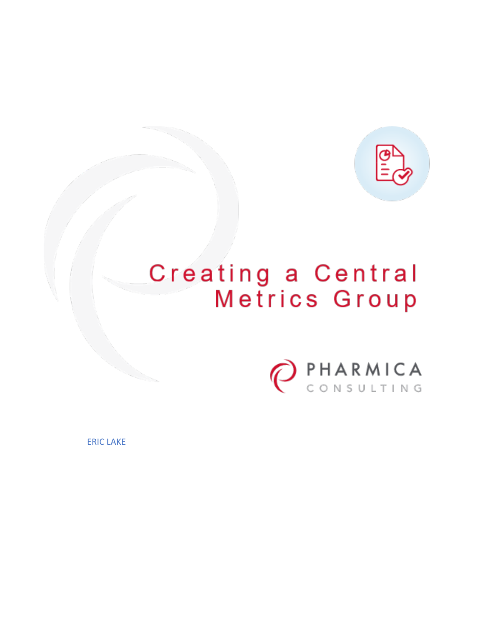

# Creating a Central Metrics Group



ERIC LAKE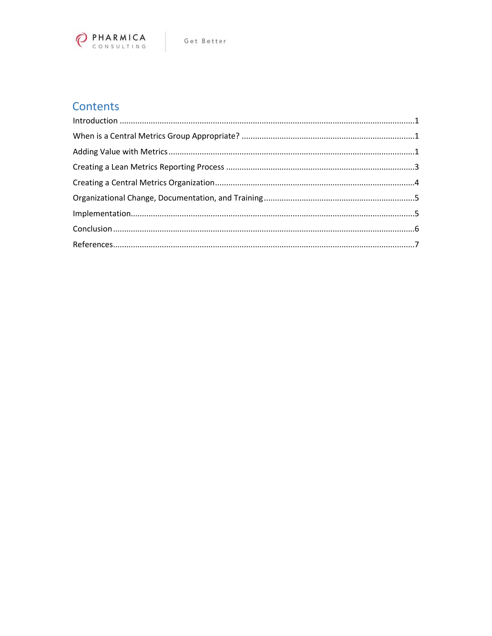

## **Contents**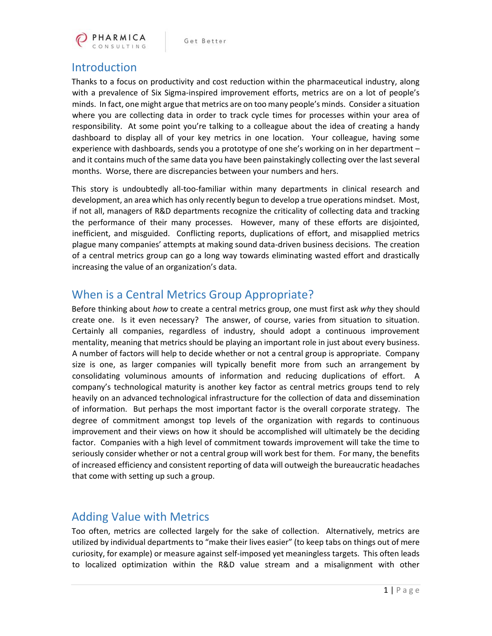

#### <span id="page-2-0"></span>Introduction

Thanks to a focus on productivity and cost reduction within the pharmaceutical industry, along with a prevalence of Six Sigma-inspired improvement efforts, metrics are on a lot of people's minds. In fact, one might argue that metrics are on too many people's minds. Consider a situation where you are collecting data in order to track cycle times for processes within your area of responsibility. At some point you're talking to a colleague about the idea of creating a handy dashboard to display all of your key metrics in one location. Your colleague, having some experience with dashboards, sends you a prototype of one she's working on in her department – and it contains much of the same data you have been painstakingly collecting over the last several months. Worse, there are discrepancies between your numbers and hers.

This story is undoubtedly all-too-familiar within many departments in clinical research and development, an area which has only recently begun to develop a true operations mindset. Most, if not all, managers of R&D departments recognize the criticality of collecting data and tracking the performance of their many processes. However, many of these efforts are disjointed, inefficient, and misguided. Conflicting reports, duplications of effort, and misapplied metrics plague many companies' attempts at making sound data-driven business decisions. The creation of a central metrics group can go a long way towards eliminating wasted effort and drastically increasing the value of an organization's data.

#### <span id="page-2-1"></span>When is a Central Metrics Group Appropriate?

Before thinking about *how* to create a central metrics group, one must first ask *why* they should create one. Is it even necessary? The answer, of course, varies from situation to situation. Certainly all companies, regardless of industry, should adopt a continuous improvement mentality, meaning that metrics should be playing an important role in just about every business. A number of factors will help to decide whether or not a central group is appropriate. Company size is one, as larger companies will typically benefit more from such an arrangement by consolidating voluminous amounts of information and reducing duplications of effort. A company's technological maturity is another key factor as central metrics groups tend to rely heavily on an advanced technological infrastructure for the collection of data and dissemination of information. But perhaps the most important factor is the overall corporate strategy. The degree of commitment amongst top levels of the organization with regards to continuous improvement and their views on how it should be accomplished will ultimately be the deciding factor. Companies with a high level of commitment towards improvement will take the time to seriously consider whether or not a central group will work best for them. For many, the benefits of increased efficiency and consistent reporting of data will outweigh the bureaucratic headaches that come with setting up such a group.

#### <span id="page-2-2"></span>Adding Value with Metrics

Too often, metrics are collected largely for the sake of collection. Alternatively, metrics are utilized by individual departments to "make their lives easier" (to keep tabs on things out of mere curiosity, for example) or measure against self-imposed yet meaningless targets. This often leads to localized optimization within the R&D value stream and a misalignment with other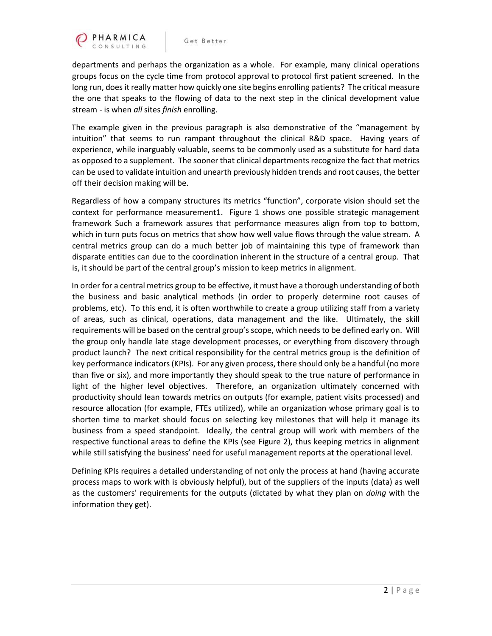

departments and perhaps the organization as a whole. For example, many clinical operations groups focus on the cycle time from protocol approval to protocol first patient screened. In the long run, does it really matter how quickly one site begins enrolling patients? The critical measure the one that speaks to the flowing of data to the next step in the clinical development value stream - is when *all* sites *finish* enrolling.

The example given in the previous paragraph is also demonstrative of the "management by intuition" that seems to run rampant throughout the clinical R&D space. Having years of experience, while inarguably valuable, seems to be commonly used as a substitute for hard data as opposed to a supplement. The sooner that clinical departments recognize the fact that metrics can be used to validate intuition and unearth previously hidden trends and root causes, the better off their decision making will be.

Regardless of how a company structures its metrics "function", corporate vision should set the context for performance measurement1. Figure 1 shows one possible strategic management framework Such a framework assures that performance measures align from top to bottom, which in turn puts focus on metrics that show how well value flows through the value stream. A central metrics group can do a much better job of maintaining this type of framework than disparate entities can due to the coordination inherent in the structure of a central group. That is, it should be part of the central group's mission to keep metrics in alignment.

In order for a central metrics group to be effective, it must have a thorough understanding of both the business and basic analytical methods (in order to properly determine root causes of problems, etc). To this end, it is often worthwhile to create a group utilizing staff from a variety of areas, such as clinical, operations, data management and the like. Ultimately, the skill requirements will be based on the central group's scope, which needs to be defined early on. Will the group only handle late stage development processes, or everything from discovery through product launch? The next critical responsibility for the central metrics group is the definition of key performance indicators (KPIs). For any given process, there should only be a handful (no more than five or six), and more importantly they should speak to the true nature of performance in light of the higher level objectives. Therefore, an organization ultimately concerned with productivity should lean towards metrics on outputs (for example, patient visits processed) and resource allocation (for example, FTEs utilized), while an organization whose primary goal is to shorten time to market should focus on selecting key milestones that will help it manage its business from a speed standpoint. Ideally, the central group will work with members of the respective functional areas to define the KPIs (see Figure 2), thus keeping metrics in alignment while still satisfying the business' need for useful management reports at the operational level.

Defining KPIs requires a detailed understanding of not only the process at hand (having accurate process maps to work with is obviously helpful), but of the suppliers of the inputs (data) as well as the customers' requirements for the outputs (dictated by what they plan on *doing* with the information they get).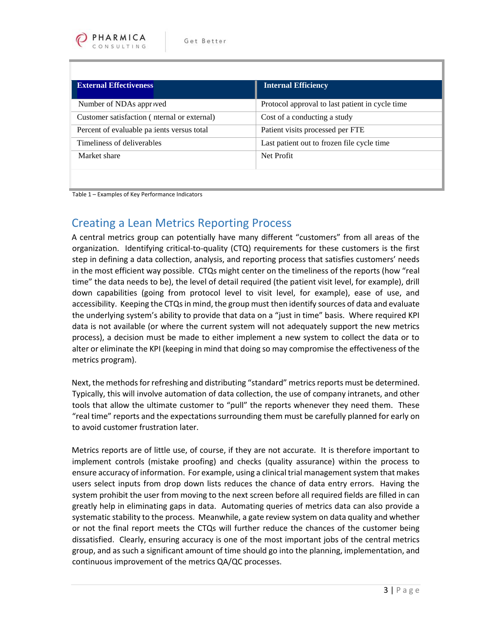| <b>External Effectiveness</b>              | <b>Internal Efficiency</b>                      |
|--------------------------------------------|-------------------------------------------------|
| Number of NDAs approved                    | Protocol approval to last patient in cycle time |
| Customer satisfaction (nermal or external) | Cost of a conducting a study                    |
| Percent of evaluable patients versus total | Patient visits processed per FTE                |
| Timeliness of deliverables                 | Last patient out to frozen file cycle time      |
| Market share                               | Net Profit                                      |
|                                            |                                                 |

Table 1 – Examples of Key Performance Indicators

### <span id="page-4-0"></span>Creating a Lean Metrics Reporting Process

A central metrics group can potentially have many different "customers" from all areas of the organization. Identifying critical-to-quality (CTQ) requirements for these customers is the first step in defining a data collection, analysis, and reporting process that satisfies customers' needs in the most efficient way possible. CTQs might center on the timeliness of the reports (how "real time" the data needs to be), the level of detail required (the patient visit level, for example), drill down capabilities (going from protocol level to visit level, for example), ease of use, and accessibility. Keeping the CTQs in mind, the group must then identify sources of data and evaluate the underlying system's ability to provide that data on a "just in time" basis. Where required KPI data is not available (or where the current system will not adequately support the new metrics process), a decision must be made to either implement a new system to collect the data or to alter or eliminate the KPI (keeping in mind that doing so may compromise the effectiveness of the metrics program).

Next, the methods for refreshing and distributing "standard" metrics reports must be determined. Typically, this will involve automation of data collection, the use of company intranets, and other tools that allow the ultimate customer to "pull" the reports whenever they need them. These "real time" reports and the expectations surrounding them must be carefully planned for early on to avoid customer frustration later.

Metrics reports are of little use, of course, if they are not accurate. It is therefore important to implement controls (mistake proofing) and checks (quality assurance) within the process to ensure accuracy of information. For example, using a clinical trial management system that makes users select inputs from drop down lists reduces the chance of data entry errors. Having the system prohibit the user from moving to the next screen before all required fields are filled in can greatly help in eliminating gaps in data. Automating queries of metrics data can also provide a systematic stability to the process. Meanwhile, a gate review system on data quality and whether or not the final report meets the CTQs will further reduce the chances of the customer being dissatisfied. Clearly, ensuring accuracy is one of the most important jobs of the central metrics group, and as such a significant amount of time should go into the planning, implementation, and continuous improvement of the metrics QA/QC processes.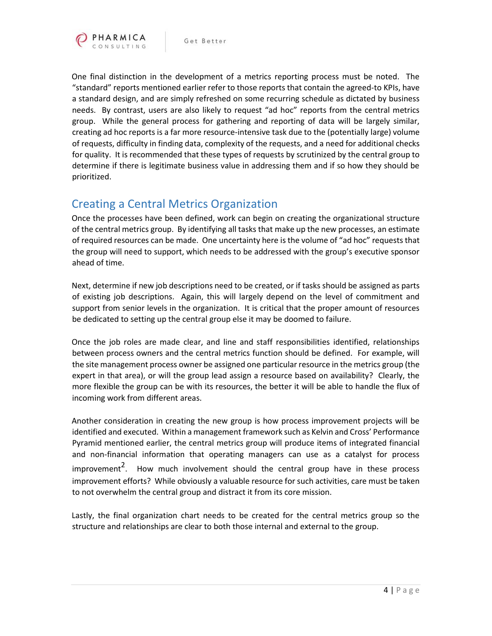

One final distinction in the development of a metrics reporting process must be noted. The "standard" reports mentioned earlier refer to those reports that contain the agreed-to KPIs, have a standard design, and are simply refreshed on some recurring schedule as dictated by business needs. By contrast, users are also likely to request "ad hoc" reports from the central metrics group. While the general process for gathering and reporting of data will be largely similar, creating ad hoc reports is a far more resource-intensive task due to the (potentially large) volume of requests, difficulty in finding data, complexity of the requests, and a need for additional checks for quality. It is recommended that these types of requests by scrutinized by the central group to determine if there is legitimate business value in addressing them and if so how they should be prioritized.

#### <span id="page-5-0"></span>Creating a Central Metrics Organization

Once the processes have been defined, work can begin on creating the organizational structure of the central metrics group. By identifying all tasks that make up the new processes, an estimate of required resources can be made. One uncertainty here is the volume of "ad hoc" requests that the group will need to support, which needs to be addressed with the group's executive sponsor ahead of time.

Next, determine if new job descriptions need to be created, or if tasks should be assigned as parts of existing job descriptions. Again, this will largely depend on the level of commitment and support from senior levels in the organization. It is critical that the proper amount of resources be dedicated to setting up the central group else it may be doomed to failure.

Once the job roles are made clear, and line and staff responsibilities identified, relationships between process owners and the central metrics function should be defined. For example, will the site management process owner be assigned one particular resource in the metrics group (the expert in that area), or will the group lead assign a resource based on availability? Clearly, the more flexible the group can be with its resources, the better it will be able to handle the flux of incoming work from different areas.

Another consideration in creating the new group is how process improvement projects will be identified and executed. Within a management framework such as Kelvin and Cross' Performance Pyramid mentioned earlier, the central metrics group will produce items of integrated financial and non-financial information that operating managers can use as a catalyst for process improvement<sup>2</sup>. How much involvement should the central group have in these process improvement efforts? While obviously a valuable resource for such activities, care must be taken to not overwhelm the central group and distract it from its core mission.

Lastly, the final organization chart needs to be created for the central metrics group so the structure and relationships are clear to both those internal and external to the group.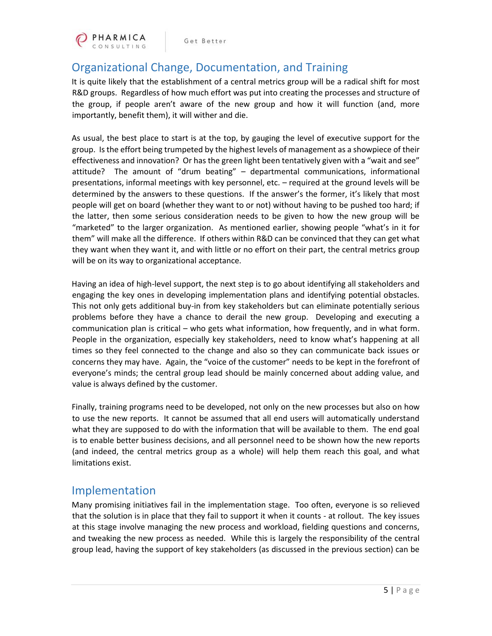

Get Better

## <span id="page-6-0"></span>Organizational Change, Documentation, and Training

It is quite likely that the establishment of a central metrics group will be a radical shift for most R&D groups. Regardless of how much effort was put into creating the processes and structure of the group, if people aren't aware of the new group and how it will function (and, more importantly, benefit them), it will wither and die.

As usual, the best place to start is at the top, by gauging the level of executive support for the group. Is the effort being trumpeted by the highest levels of management as a showpiece of their effectiveness and innovation? Or has the green light been tentatively given with a "wait and see" attitude? The amount of "drum beating" – departmental communications, informational presentations, informal meetings with key personnel, etc. – required at the ground levels will be determined by the answers to these questions. If the answer's the former, it's likely that most people will get on board (whether they want to or not) without having to be pushed too hard; if the latter, then some serious consideration needs to be given to how the new group will be "marketed" to the larger organization. As mentioned earlier, showing people "what's in it for them" will make all the difference. If others within R&D can be convinced that they can get what they want when they want it, and with little or no effort on their part, the central metrics group will be on its way to organizational acceptance.

Having an idea of high-level support, the next step is to go about identifying all stakeholders and engaging the key ones in developing implementation plans and identifying potential obstacles. This not only gets additional buy-in from key stakeholders but can eliminate potentially serious problems before they have a chance to derail the new group. Developing and executing a communication plan is critical – who gets what information, how frequently, and in what form. People in the organization, especially key stakeholders, need to know what's happening at all times so they feel connected to the change and also so they can communicate back issues or concerns they may have. Again, the "voice of the customer" needs to be kept in the forefront of everyone's minds; the central group lead should be mainly concerned about adding value, and value is always defined by the customer.

Finally, training programs need to be developed, not only on the new processes but also on how to use the new reports. It cannot be assumed that all end users will automatically understand what they are supposed to do with the information that will be available to them. The end goal is to enable better business decisions, and all personnel need to be shown how the new reports (and indeed, the central metrics group as a whole) will help them reach this goal, and what limitations exist.

#### <span id="page-6-1"></span>Implementation

Many promising initiatives fail in the implementation stage. Too often, everyone is so relieved that the solution is in place that they fail to support it when it counts - at rollout. The key issues at this stage involve managing the new process and workload, fielding questions and concerns, and tweaking the new process as needed. While this is largely the responsibility of the central group lead, having the support of key stakeholders (as discussed in the previous section) can be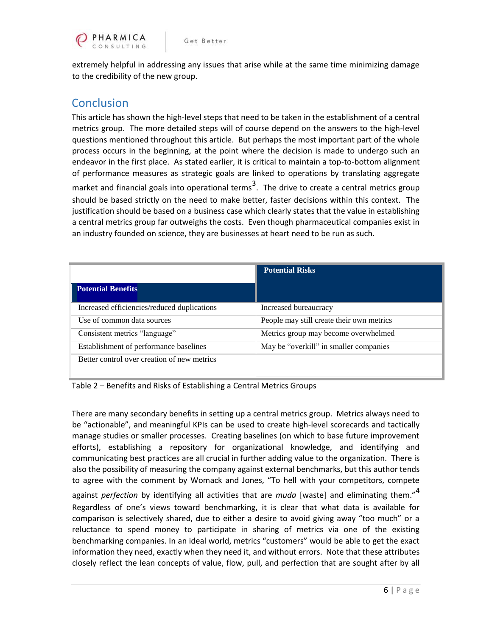

extremely helpful in addressing any issues that arise while at the same time minimizing damage to the credibility of the new group.

## <span id="page-7-0"></span>**Conclusion**

This article has shown the high-level steps that need to be taken in the establishment of a central metrics group. The more detailed steps will of course depend on the answers to the high-level questions mentioned throughout this article. But perhaps the most important part of the whole process occurs in the beginning, at the point where the decision is made to undergo such an endeavor in the first place. As stated earlier, it is critical to maintain a top-to-bottom alignment of performance measures as strategic goals are linked to operations by translating aggregate market and financial goals into operational terms<sup>3</sup>. The drive to create a central metrics group should be based strictly on the need to make better, faster decisions within this context. The justification should be based on a business case which clearly states that the value in establishing a central metrics group far outweighs the costs. Even though pharmaceutical companies exist in an industry founded on science, they are businesses at heart need to be run as such.

|                                             | <b>Potential Risks</b>                    |
|---------------------------------------------|-------------------------------------------|
| <b>Potential Benefits</b>                   |                                           |
| Increased efficiencies/reduced duplications | Increased bureaucracy                     |
| Use of common data sources                  | People may still create their own metrics |
| Consistent metrics "language"               | Metrics group may become overwhelmed      |
| Establishment of performance baselines      | May be "overkill" in smaller companies    |
| Better control over creation of new metrics |                                           |

Table 2 – Benefits and Risks of Establishing a Central Metrics Groups

There are many secondary benefits in setting up a central metrics group. Metrics always need to be "actionable", and meaningful KPIs can be used to create high-level scorecards and tactically manage studies or smaller processes. Creating baselines (on which to base future improvement efforts), establishing a repository for organizational knowledge, and identifying and communicating best practices are all crucial in further adding value to the organization. There is also the possibility of measuring the company against external benchmarks, but this author tends to agree with the comment by Womack and Jones, "To hell with your competitors, compete

against *perfection* by identifying all activities that are *muda* [waste] and eliminating them."<sup>4</sup> Regardless of one's views toward benchmarking, it is clear that what data is available for comparison is selectively shared, due to either a desire to avoid giving away "too much" or a reluctance to spend money to participate in sharing of metrics via one of the existing benchmarking companies. In an ideal world, metrics "customers" would be able to get the exact information they need, exactly when they need it, and without errors. Note that these attributes closely reflect the lean concepts of value, flow, pull, and perfection that are sought after by all